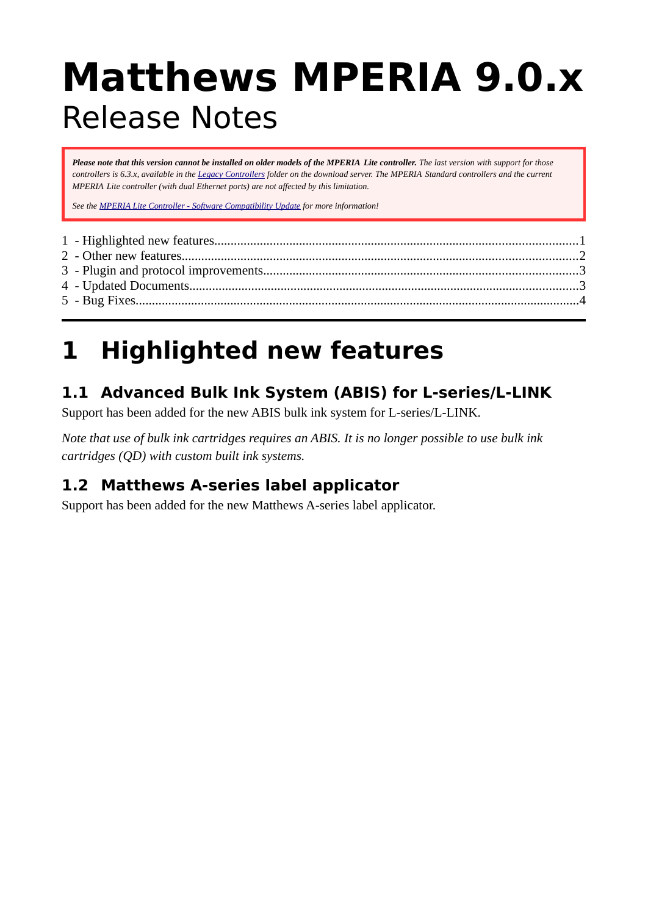# **Matthews MPERIA 9.0.x** Release Notes

*Please note that this version cannot be installed on older models of the MPERIA Lite controller. The last version with support for those controllers is 6.3.x, available in the [Legacy Controllers](http://mperia.matthews.se/pcm-software/Legacy%20Controllers/) folder on the download server. The MPERIA Standard controllers and the current MPERIA Lite controller (with dual Ethernet ports) are not affected by this limitation.*

*See the [MPERIA Lite Controller - Software Compatibility Update](http://mperia.matthews.se/mperia/Product%20Update%20MPERIA%20Lite%20Software%20Compatibility.pdf) for more information!*

### <span id="page-0-0"></span>**1 Highlighted new features**

### **1.1 Advanced Bulk Ink System (ABIS) for L-series/L-LINK**

Support has been added for the new ABIS bulk ink system for L-series/L-LINK.

*Note that use of bulk ink cartridges requires an ABIS. It is no longer possible to use bulk ink cartridges (QD) with custom built ink systems.*

### **1.2 Matthews A-series label applicator**

Support has been added for the new Matthews A-series label applicator.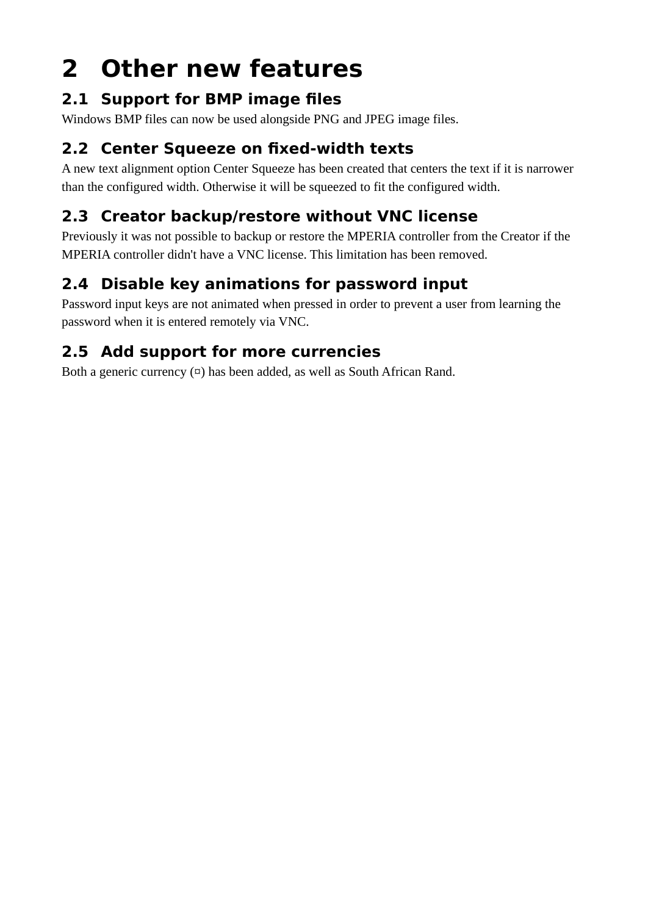## <span id="page-1-0"></span>**2 Other new features**

### **2.1 Support for BMP image files**

Windows BMP files can now be used alongside PNG and JPEG image files.

### **2.2 Center Squeeze on fixed-width texts**

A new text alignment option Center Squeeze has been created that centers the text if it is narrower than the configured width. Otherwise it will be squeezed to fit the configured width.

### **2.3 Creator backup/restore without VNC license**

Previously it was not possible to backup or restore the MPERIA controller from the Creator if the MPERIA controller didn't have a VNC license. This limitation has been removed.

### **2.4 Disable key animations for password input**

Password input keys are not animated when pressed in order to prevent a user from learning the password when it is entered remotely via VNC.

### **2.5 Add support for more currencies**

Both a generic currency  $(\infty)$  has been added, as well as South African Rand.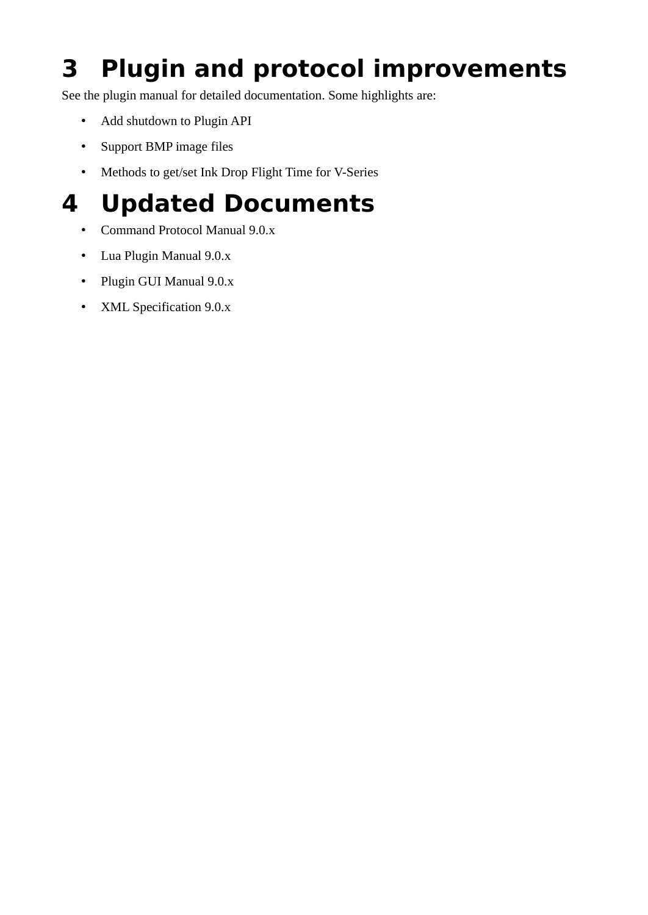## <span id="page-2-1"></span>**3 Plugin and protocol improvements**

See the plugin manual for detailed documentation. Some highlights are:

- Add shutdown to Plugin API
- Support BMP image files
- <span id="page-2-0"></span>• Methods to get/set Ink Drop Flight Time for V-Series

### **4 Updated Documents**

- Command Protocol Manual 9.0.x
- Lua Plugin Manual 9.0.x
- Plugin GUI Manual 9.0.x
- XML Specification 9.0.x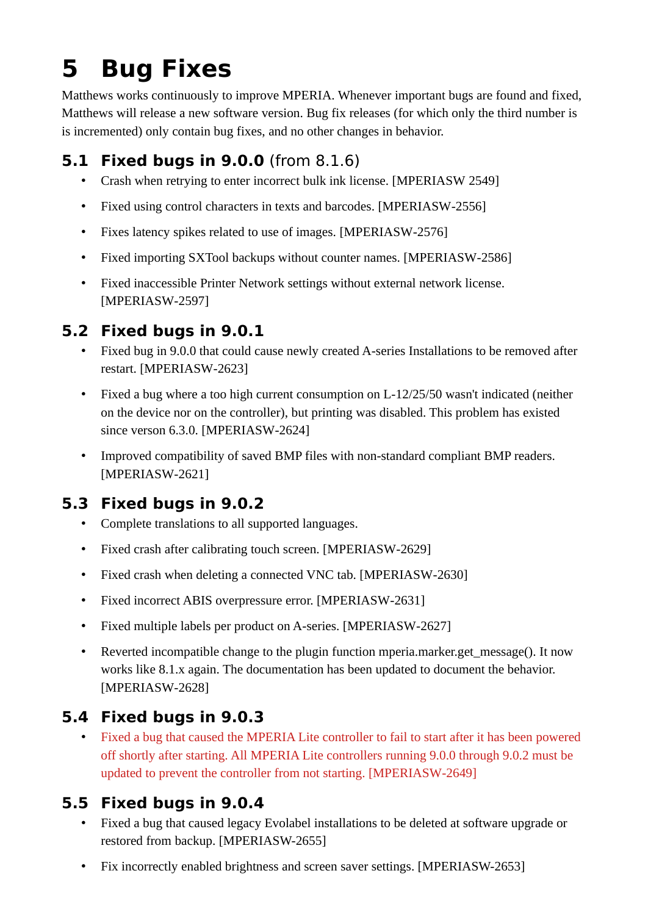### <span id="page-3-0"></span>**5 Bug Fixes**

Matthews works continuously to improve MPERIA. Whenever important bugs are found and fixed, Matthews will release a new software version. Bug fix releases (for which only the third number is is incremented) only contain bug fixes, and no other changes in behavior.

### **5.1 Fixed bugs in 9.0.0** (from 8.1.6)

- Crash when retrying to enter incorrect bulk ink license. [MPERIASW 2549]
- Fixed using control characters in texts and barcodes. [MPERIASW-2556]
- Fixes latency spikes related to use of images. [MPERIASW-2576]
- Fixed importing SXTool backups without counter names. [MPERIASW-2586]
- Fixed inaccessible Printer Network settings without external network license. [MPERIASW-2597]

#### **5.2 Fixed bugs in 9.0.1**

- Fixed bug in 9.0.0 that could cause newly created A-series Installations to be removed after restart. [MPERIASW-2623]
- Fixed a bug where a too high current consumption on L-12/25/50 wasn't indicated (neither on the device nor on the controller), but printing was disabled. This problem has existed since verson 6.3.0. [MPERIASW-2624]
- Improved compatibility of saved BMP files with non-standard compliant BMP readers. [MPERIASW-2621]

### **5.3 Fixed bugs in 9.0.2**

- Complete translations to all supported languages.
- Fixed crash after calibrating touch screen. [MPERIASW-2629]
- Fixed crash when deleting a connected VNC tab. [MPERIASW-2630]
- Fixed incorrect ABIS overpressure error. [MPERIASW-2631]
- Fixed multiple labels per product on A-series. [MPERIASW-2627]
- Reverted incompatible change to the plugin function mperia.marker.get message(). It now works like 8.1.x again. The documentation has been updated to document the behavior. [MPERIASW-2628]

#### **5.4 Fixed bugs in 9.0.3**

• Fixed a bug that caused the MPERIA Lite controller to fail to start after it has been powered off shortly after starting. All MPERIA Lite controllers running 9.0.0 through 9.0.2 must be updated to prevent the controller from not starting. [MPERIASW-2649]

#### **5.5 Fixed bugs in 9.0.4**

- Fixed a bug that caused legacy Evolabel installations to be deleted at software upgrade or restored from backup. [MPERIASW-2655]
- Fix incorrectly enabled brightness and screen saver settings. [MPERIASW-2653]